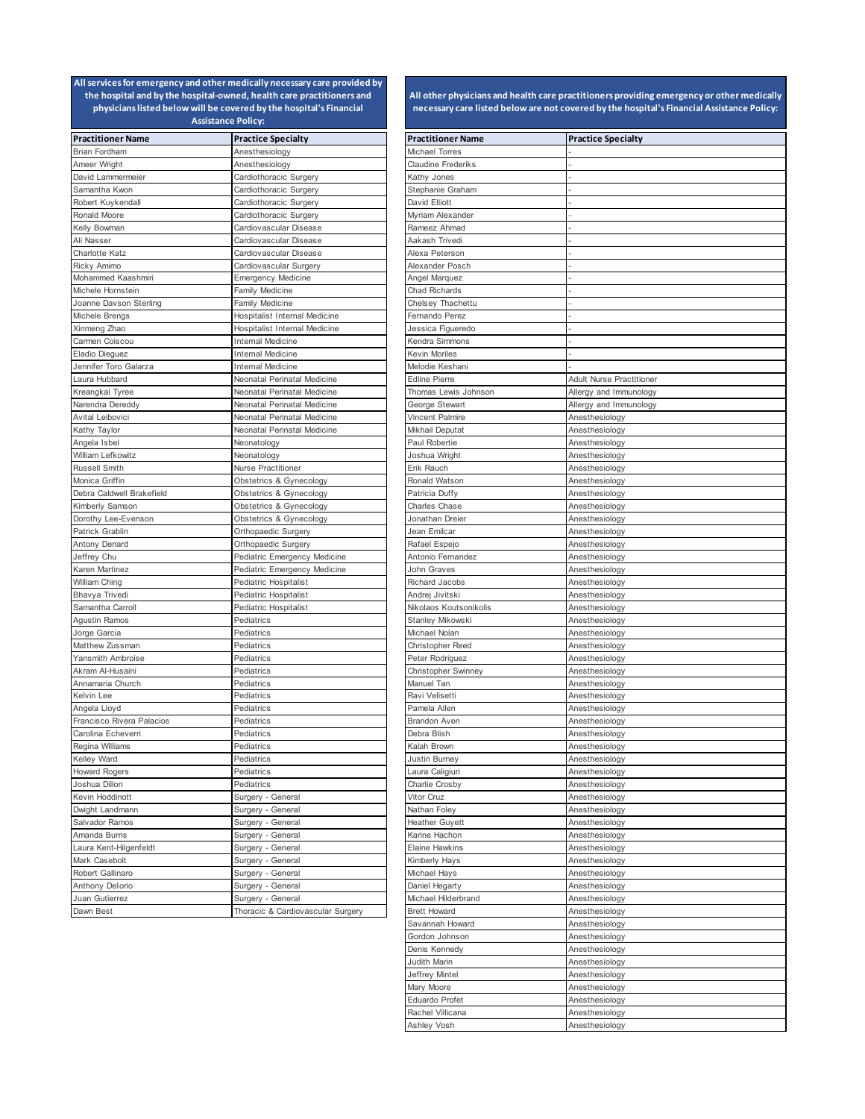| <b>Practitioner Name</b>                | <b>Practice Specialty</b>         | <b>Practitioner Name</b>   | <b>Practice Specialty</b>       |
|-----------------------------------------|-----------------------------------|----------------------------|---------------------------------|
| Brian Fordham                           | Anesthesiology                    | Michael Torres             |                                 |
| Ameer Wright                            | Anesthesiology                    | <b>Claudine Frederiks</b>  |                                 |
| David Lammermeier                       | Cardiothoracic Surgery            | Kathy Jones                |                                 |
| Samantha Kwon                           | Cardiothoracic Surgery            | Stephanie Graham           |                                 |
| Robert Kuykendall                       | Cardiothoracic Surgery            | David Elliott              |                                 |
| Ronald Moore                            | Cardiothoracic Surgery            | Myriam Alexander           |                                 |
| Kelly Bowman                            | Cardiovascular Disease            | Rameez Ahmad               |                                 |
| Ali Nasser                              | Cardiovascular Disease            | Aakash Trivedi             |                                 |
| Charlotte Katz                          | Cardiovascular Disease            | Alexa Peterson             |                                 |
| Ricky Amimo                             | Cardiovascular Surgery            | Alexander Posch            |                                 |
| Mohammed Kaashmiri                      | Emergency Medicine                | Angel Marquez              |                                 |
| Michele Hornstein                       | <b>Family Medicine</b>            | <b>Chad Richards</b>       |                                 |
| Joanne Davson Sterling                  | Family Medicine                   | Chelsey Thachettu          |                                 |
| Michele Brengs                          | Hospitalist Internal Medicine     | Fernando Perez             |                                 |
| Xinmeng Zhao                            | Hospitalist Internal Medicine     | Jessica Figueredo          |                                 |
| Carmen Coiscou                          | <b>Internal Medicine</b>          | Kendra Simmons             |                                 |
|                                         | Internal Medicine                 | Kevin Moriles              |                                 |
| Eladio Dieguez<br>Jennifer Toro Galarza |                                   |                            |                                 |
|                                         | <b>Internal Medicine</b>          | Melodie Keshani            |                                 |
| Laura Hubbard                           | Neonatal Perinatal Medicine       | <b>Edline Pierre</b>       | <b>Adult Nurse Practitioner</b> |
| Kreangkai Tyree                         | Neonatal Perinatal Medicine       | Thomas Lewis Johnson       | Allergy and Immunology          |
| Narendra Dereddy                        | Neonatal Perinatal Medicine       | George Stewart             | Allergy and Immunology          |
| Avital Leibovici                        | Neonatal Perinatal Medicine       | Vincent Palmire            | Anesthesiology                  |
| Kathy Taylor                            | Neonatal Perinatal Medicine       | Mikhail Deputat            | Anesthesiology                  |
| Angela Isbel                            | Neonatology                       | Paul Robertie              | Anesthesiology                  |
| William Lefkowitz                       | Neonatology                       | Joshua Wright              | Anesthesiology                  |
| Russell Smith                           | <b>Nurse Practitioner</b>         | Erik Rauch                 | Anesthesiology                  |
| Monica Griffin                          | Obstetrics & Gynecology           | Ronald Watson              | Anesthesiology                  |
| Debra Caldwell Brakefield               | Obstetrics & Gynecology           | Patricia Duffy             | Anesthesiology                  |
| Kimberly Samson                         | Obstetrics & Gynecology           | Charles Chase              | Anesthesiology                  |
| Dorothy Lee-Evenson                     | Obstetrics & Gynecology           | Jonathan Dreier            | Anesthesiology                  |
| Patrick Grablin                         | Orthopaedic Surgery               | Jean Emilcar               | Anesthesiology                  |
| Antony Denard                           | Orthopaedic Surgery               | Rafael Espejo              | Anesthesiology                  |
| Jeffrey Chu                             | Pediatric Emergency Medicine      | Antonio Fernandez          | Anesthesiology                  |
| Karen Martinez                          | Pediatric Emergency Medicine      | John Graves                | Anesthesiology                  |
| William Ching                           | Pediatric Hospitalist             | Richard Jacobs             | Anesthesiology                  |
| Bhavya Trivedi                          | Pediatric Hospitalist             | Andrej Jivitski            | Anesthesiology                  |
| Samantha Carroll                        | Pediatric Hospitalist             | Nikolaos Koutsonikolis     | Anesthesiology                  |
| <b>Agustin Ramos</b>                    | Pediatrics                        | Stanley Mikowski           | Anesthesiology                  |
| Jorge Garcia                            | Pediatrics                        | Michael Nolan              | Anesthesiology                  |
| Matthew Zussman                         | Pediatrics                        | Christopher Reed           | Anesthesiology                  |
| Yansmith Ambroise                       | Pediatrics                        | Peter Rodriguez            | Anesthesiology                  |
| Akram Al-Husaini                        | Pediatrics                        | <b>Christopher Swinney</b> | Anesthesiology                  |
| Annamaria Church                        | Pediatrics                        | Manuel Tan                 | Anesthesiology                  |
| Kelvin Lee                              | Pediatrics                        | Ravi Velisetti             | Anesthesiology                  |
| Angela Lloyd                            | Pediatrics                        | Pamela Allen               | Anesthesiology                  |
| Francisco Rivera Palacios               | Pediatrics                        | <b>Brandon Aven</b>        | Anesthesiology                  |
| Carolina Echeverri                      | Pediatrics                        | Debra Blish                | Anesthesiology                  |
| Regina Williams                         | Pediatrics                        | Kalah Brown                | Anesthesiology                  |
| Kelley Ward                             | Pediatrics                        |                            |                                 |
|                                         |                                   | Justin Burney              | Anesthesiology                  |
| <b>Howard Rogers</b>                    | Pediatrics                        | Laura Caligiuri            | Anesthesiology                  |
| Joshua Dillon                           | Pediatrics                        | Charlie Crosby             | Anesthesiology                  |
| Kevin Hoddinott                         | Surgery - General                 | Vitor Cruz                 | Anesthesiology                  |
| Dwight Landmann                         | Surgery - General                 | Nathan Foley               | Anesthesiology                  |
| Salvador Ramos                          | Surgery - General                 | <b>Heather Guyett</b>      | Anesthesiology                  |
| Amanda Burns                            | Surgery - General                 | Karine Hachon              | Anesthesiology                  |
| Laura Kent-Hilgenfeldt                  | Surgery - General                 | Elaine Hawkins             | Anesthesiology                  |
| Mark Casebolt                           | Surgery - General                 | Kimberly Hays              | Anesthesiology                  |
| Robert Gallinaro                        | Surgery - General                 | Michael Hays               | Anesthesiology                  |
| Anthony Delorio                         | Surgery - General                 | Daniel Hegarty             | Anesthesiology                  |
| Juan Gutierrez                          | Surgery - General                 | Michael Hilderbrand        | Anesthesiology                  |
| Dawn Best                               | Thoracic & Cardiovascular Surgery | <b>Brett Howard</b>        | Anesthesiology                  |

| <b>Practitioner Name</b>               | <b>Practice Specialty</b>        |
|----------------------------------------|----------------------------------|
| Michael Torres                         |                                  |
| Claudine Frederiks                     |                                  |
| Kathy Jones                            |                                  |
| Stephanie Graham                       |                                  |
| David Elliott                          |                                  |
| Myriam Alexander                       |                                  |
| Rameez Ahmad                           |                                  |
| Aakash Trivedi                         |                                  |
| Alexa Peterson                         |                                  |
| Alexander Posch                        |                                  |
| Angel Marquez                          |                                  |
| Chad Richards                          |                                  |
| Chelsey Thachettu                      |                                  |
| Fernando Perez                         |                                  |
| Jessica Figueredo                      |                                  |
| Kendra Simmons<br><b>Kevin Moriles</b> |                                  |
| Melodie Keshani                        |                                  |
| <b>Edline Pierre</b>                   | <b>Adult Nurse Practitioner</b>  |
| Thomas Lewis Johnson                   | Allergy and Immunology           |
| George Stewart                         | Allergy and Immunology           |
| Vincent Palmire                        | Anesthesiology                   |
| Mikhail Deputat                        | Anesthesiology                   |
| Paul Robertie                          | Anesthesiology                   |
| Joshua Wright                          | Anesthesiology                   |
| Erik Rauch                             | Anesthesiology                   |
| Ronald Watson                          | Anesthesiology                   |
| Patricia Duffy                         | Anesthesiology                   |
| Charles Chase                          | Anesthesiology                   |
| Jonathan Dreier                        | Anesthesiology                   |
| Jean Emilcar                           | Anesthesiology                   |
| Rafael Espejo                          | Anesthesiology                   |
| Antonio Fernandez                      | Anesthesiology                   |
| John Graves                            | Anesthesiology                   |
| Richard Jacobs                         | Anesthesiology                   |
| Andrej Jivitski                        | Anesthesiology                   |
| Nikolaos Koutsonikolis                 | Anesthesiology                   |
| Stanley Mikowski                       | Anesthesiology                   |
| Michael Nolan                          | Anesthesiology                   |
| Christopher Reed                       | Anesthesiology                   |
| Peter Rodriguez                        | Anesthesiology                   |
| Christopher Swinney<br>Manuel Tan      | Anesthesiology                   |
| Ravi Velisetti                         | Anesthesiology<br>Anesthesiology |
| Pamela Allen                           | Anesthesiology                   |
| <b>Brandon Aven</b>                    | Anesthesiology                   |
| Debra Blish                            | Anesthesiology                   |
| Kalah Brown                            | Anesthesiology                   |
| Justin Burney                          | Anesthesiology                   |
| Laura Caligiuri                        | Anesthesiology                   |
| Charlie Crosby                         | Anesthesiology                   |
| Vitor Cruz                             | Anesthesiology                   |
| Nathan Foley                           | Anesthesiology                   |
| <b>Heather Guyett</b>                  | Anesthesiology                   |
| Karine Hachon                          | Anesthesiology                   |
| <b>Elaine Hawkins</b>                  | Anesthesiology                   |
| Kimberly Hays                          | Anesthesiology                   |
| Michael Hays                           | Anesthesiology                   |
| Daniel Hegarty                         | Anesthesiology                   |
| Michael Hilderbrand                    | Anesthesiology                   |
| <b>Brett Howard</b>                    | Anesthesiology                   |
| Savannah Howard                        | Anesthesiology                   |
| Gordon Johnson                         | Anesthesiology                   |
| Denis Kennedy                          | Anesthesiology                   |
| Judith Marin<br>Jeffrey Mintel         | Anesthesiology<br>Anesthesiology |
| Mary Moore                             | Anesthesiology                   |
| Eduardo Profet                         | Anesthesiology                   |
| Rachel Villicana                       | Anesthesiology                   |
| Ashley Vosh                            | Anesthesiology                   |
|                                        |                                  |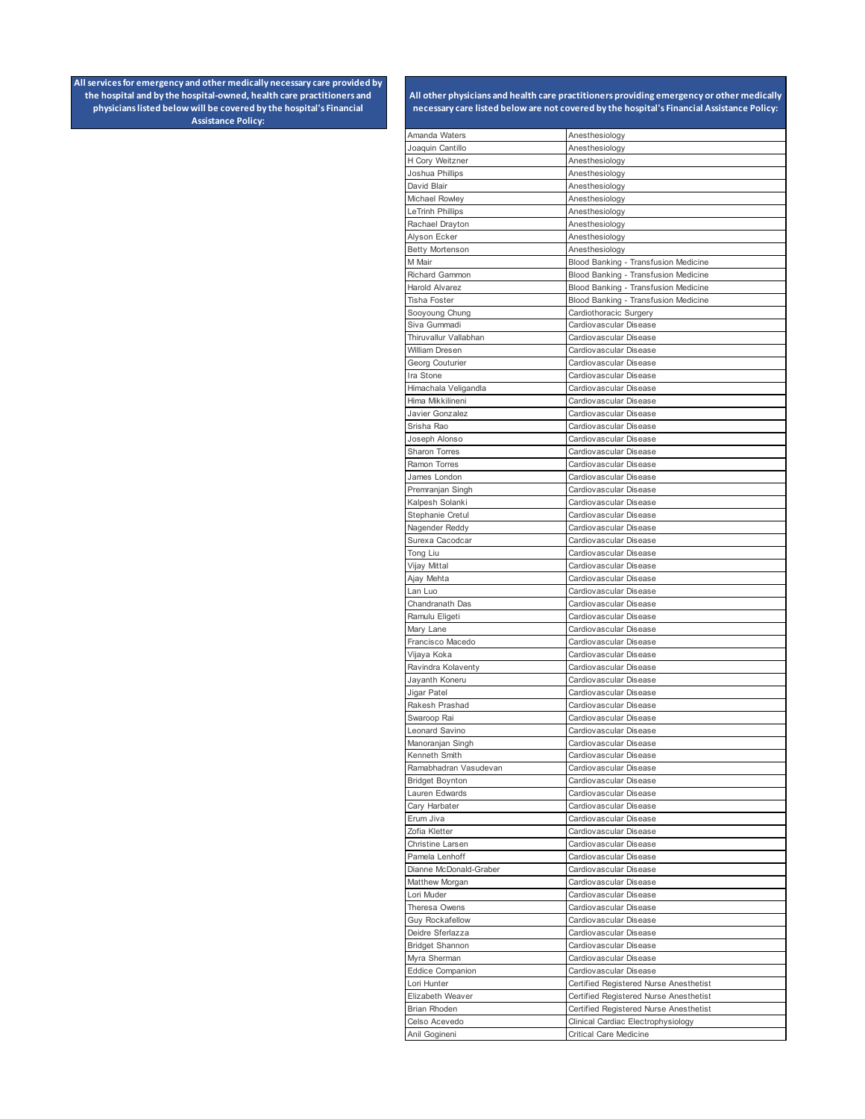| Amanda Waters                           | Anesthesiology                                                                   |
|-----------------------------------------|----------------------------------------------------------------------------------|
| Joaquin Cantillo                        | Anesthesiology                                                                   |
| H Cory Weitzner                         | Anesthesiology                                                                   |
| Joshua Phillips                         | Anesthesiology                                                                   |
| David Blair<br>Michael Rowley           | Anesthesiology<br>Anesthesiology                                                 |
| <b>LeTrinh Phillips</b>                 | Anesthesiology                                                                   |
| Rachael Drayton                         | Anesthesiology                                                                   |
| Alyson Ecker                            | Anesthesiology                                                                   |
| Betty Mortenson                         | Anesthesiology                                                                   |
| M Mair                                  | Blood Banking - Transfusion Medicine                                             |
| Richard Gammon                          | Blood Banking - Transfusion Medicine                                             |
| <b>Harold Alvarez</b>                   | Blood Banking - Transfusion Medicine                                             |
| <b>Tisha Foster</b>                     | Blood Banking - Transfusion Medicine                                             |
| Sooyoung Chung                          | Cardiothoracic Surgery                                                           |
| Siva Gummadi                            | Cardiovascular Disease                                                           |
| Thiruvallur Vallabhan<br>William Dresen | Cardiovascular Disease<br>Cardiovascular Disease                                 |
| Georg Couturier                         | Cardiovascular Disease                                                           |
| Ira Stone                               | Cardiovascular Disease                                                           |
| Himachala Veligandla                    | Cardiovascular Disease                                                           |
| Hima Mikkilineni                        | Cardiovascular Disease                                                           |
| Javier Gonzalez                         | Cardiovascular Disease                                                           |
| Srisha Rao                              | Cardiovascular Disease                                                           |
| Joseph Alonso                           | Cardiovascular Disease                                                           |
| Sharon Torres                           | Cardiovascular Disease                                                           |
| Ramon Torres                            | Cardiovascular Disease                                                           |
| James London                            | Cardiovascular Disease                                                           |
| Premranjan Singh                        | Cardiovascular Disease                                                           |
| Kalpesh Solanki<br>Stephanie Cretul     | Cardiovascular Disease<br>Cardiovascular Disease                                 |
| Nagender Reddy                          | Cardiovascular Disease                                                           |
| Surexa Cacodcar                         | Cardiovascular Disease                                                           |
| Tong Liu                                | Cardiovascular Disease                                                           |
| Vijay Mittal                            | Cardiovascular Disease                                                           |
| Ajay Mehta                              | Cardiovascular Disease                                                           |
| Lan Luo                                 | Cardiovascular Disease                                                           |
| Chandranath Das                         | Cardiovascular Disease                                                           |
| Ramulu Eligeti                          | Cardiovascular Disease                                                           |
| Mary Lane                               | Cardiovascular Disease                                                           |
| Francisco Macedo                        | Cardiovascular Disease                                                           |
| Vijaya Koka                             | Cardiovascular Disease                                                           |
| Ravindra Kolaventy                      | Cardiovascular Disease                                                           |
| Jayanth Koneru<br>Jigar Patel           | Cardiovascular Disease<br>Cardiovascular Disease                                 |
| Rakesh Prashad                          | Cardiovascular Disease                                                           |
| Swaroop Rai                             | Cardiovascular Disease                                                           |
| Leonard Savino                          | Cardiovascular Disease                                                           |
| Manoranjan Singh                        | Cardiovascular Disease                                                           |
| Kenneth Smith                           | Cardiovascular Disease                                                           |
| Ramabhadran Vasudevan                   | Cardiovascular Disease                                                           |
| <b>Bridget Boynton</b>                  | Cardiovascular Disease                                                           |
| Lauren Edwards                          | Cardiovascular Disease                                                           |
| Cary Harbater                           | Cardiovascular Disease                                                           |
| Erum Jiva                               | Cardiovascular Disease                                                           |
| Zofia Kletter<br>Christine Larsen       | Cardiovascular Disease<br>Cardiovascular Disease                                 |
| Pamela Lenhoff                          | Cardiovascular Disease                                                           |
| Dianne McDonald-Graber                  | Cardiovascular Disease                                                           |
| Matthew Morgan                          | Cardiovascular Disease                                                           |
| Lori Muder                              | Cardiovascular Disease                                                           |
| Theresa Owens                           | Cardiovascular Disease                                                           |
| <b>Guy Rockafellow</b>                  | Cardiovascular Disease                                                           |
| Deidre Sferlazza                        | Cardiovascular Disease                                                           |
| <b>Bridget Shannon</b>                  | Cardiovascular Disease                                                           |
| Myra Sherman                            | Cardiovascular Disease                                                           |
| <b>Eddice Companion</b>                 | Cardiovascular Disease                                                           |
| Lori Hunter                             | Certified Registered Nurse Anesthetist                                           |
| Elizabeth Weaver<br>Brian Rhoden        | Certified Registered Nurse Anesthetist<br>Certified Registered Nurse Anesthetist |
| Celso Acevedo                           | Clinical Cardiac Electrophysiology                                               |
| Anil Gogineni                           | Critical Care Medicine                                                           |
|                                         |                                                                                  |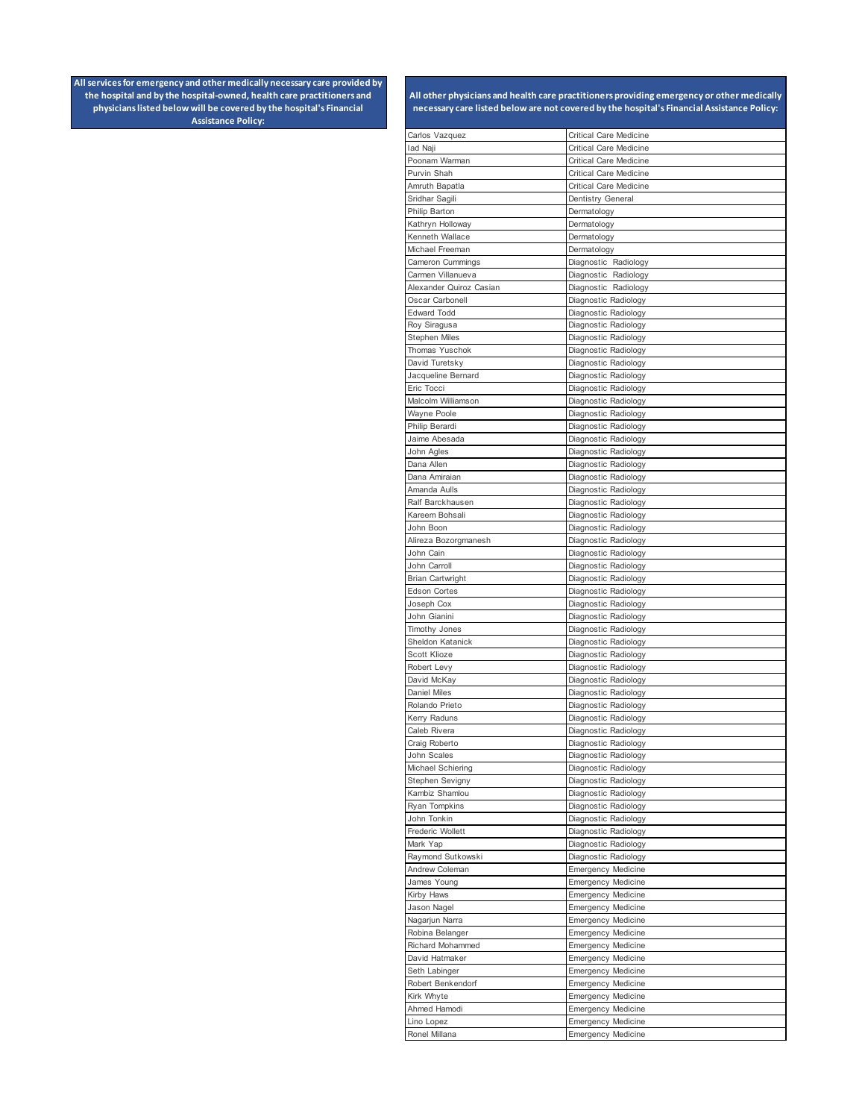| Carlos Vazquez                          | Critical Care Medicine                                 |
|-----------------------------------------|--------------------------------------------------------|
| lad Naji                                | Critical Care Medicine                                 |
| Poonam Warman                           | <b>Critical Care Medicine</b>                          |
| Purvin Shah                             | <b>Critical Care Medicine</b>                          |
| Amruth Bapatla                          | <b>Critical Care Medicine</b>                          |
| Sridhar Sagili                          | Dentistry General                                      |
| Philip Barton                           | Dermatology                                            |
| Kathryn Holloway                        | Dermatology                                            |
| Kenneth Wallace                         | Dermatology                                            |
| Michael Freeman<br>Cameron Cummings     | Dermatology                                            |
| Carmen Villanueva                       | Diagnostic Radiology<br>Diagnostic Radiology           |
| Alexander Quiroz Casian                 | Diagnostic Radiology                                   |
| Oscar Carbonell                         | Diagnostic Radiology                                   |
| <b>Edward Todd</b>                      | Diagnostic Radiology                                   |
| Roy Siragusa                            | Diagnostic Radiology                                   |
| <b>Stephen Miles</b>                    | Diagnostic Radiology                                   |
| Thomas Yuschok                          | Diagnostic Radiology                                   |
| David Turetsky                          | Diagnostic Radiology                                   |
| Jacqueline Bernard                      | Diagnostic Radiology                                   |
| Eric Tocci                              | Diagnostic Radiology                                   |
| Malcolm Williamson                      | Diagnostic Radiology                                   |
| Wayne Poole                             | Diagnostic Radiology                                   |
| Philip Berardi<br>Jaime Abesada         | Diagnostic Radiology                                   |
| John Agles                              | Diagnostic Radiology<br>Diagnostic Radiology           |
| Dana Allen                              | Diagnostic Radiology                                   |
| Dana Amiraian                           | Diagnostic Radiology                                   |
| Amanda Aulls                            | Diagnostic Radiology                                   |
| Ralf Barckhausen                        | Diagnostic Radiology                                   |
| Kareem Bohsali                          | Diagnostic Radiology                                   |
| John Boon                               | Diagnostic Radiology                                   |
| Alireza Bozorgmanesh                    | Diagnostic Radiology                                   |
| John Cain                               | Diagnostic Radiology                                   |
| John Carroll                            | Diagnostic Radiology                                   |
| Brian Cartwright<br><b>Edson Cortes</b> | Diagnostic Radiology<br>Diagnostic Radiology           |
| Joseph Cox                              | Diagnostic Radiology                                   |
| John Gianini                            | Diagnostic Radiology                                   |
| <b>Timothy Jones</b>                    | Diagnostic Radiology                                   |
| Sheldon Katanick                        | Diagnostic Radiology                                   |
| Scott Klioze                            | Diagnostic Radiology                                   |
| Robert Levy                             | Diagnostic Radiology                                   |
| David McKay                             | Diagnostic Radiology                                   |
| <b>Daniel Miles</b>                     | Diagnostic Radiology                                   |
| Rolando Prieto<br>Kerry Raduns          | Diagnostic Radiology<br>Diagnostic Radiology           |
| Caleb Rivera                            | Diagnostic Radiology                                   |
| Craig Roberto                           | Diagnostic Radiology                                   |
| John Scales                             | Diagnostic Radiology                                   |
| Michael Schiering                       | Diagnostic Radiology                                   |
| Stephen Sevigny                         | Diagnostic Radiology                                   |
| Kambiz Shamlou                          | Diagnostic Radiology                                   |
| Ryan Tompkins                           | Diagnostic Radiology                                   |
| John Tonkin                             | Diagnostic Radiology                                   |
| Frederic Wollett<br>Mark Yap            | Diagnostic Radiology<br>Diagnostic Radiology           |
| Raymond Sutkowski                       | Diagnostic Radiology                                   |
| Andrew Coleman                          | <b>Emergency Medicine</b>                              |
| James Young                             | <b>Emergency Medicine</b>                              |
| Kirby Haws                              | <b>Emergency Medicine</b>                              |
| Jason Nagel                             | <b>Emergency Medicine</b>                              |
| Nagarjun Narra                          | <b>Emergency Medicine</b>                              |
| Robina Belanger                         | <b>Emergency Medicine</b>                              |
| Richard Mohammed<br>David Hatmaker      | <b>Emergency Medicine</b><br><b>Emergency Medicine</b> |
| Seth Labinger                           | <b>Emergency Medicine</b>                              |
| Robert Benkendorf                       | <b>Emergency Medicine</b>                              |
| Kirk Whyte                              | <b>Emergency Medicine</b>                              |
| Ahmed Hamodi                            | <b>Emergency Medicine</b>                              |
| Lino Lopez                              | <b>Emergency Medicine</b>                              |
| Ronel Millana                           | <b>Emergency Medicine</b>                              |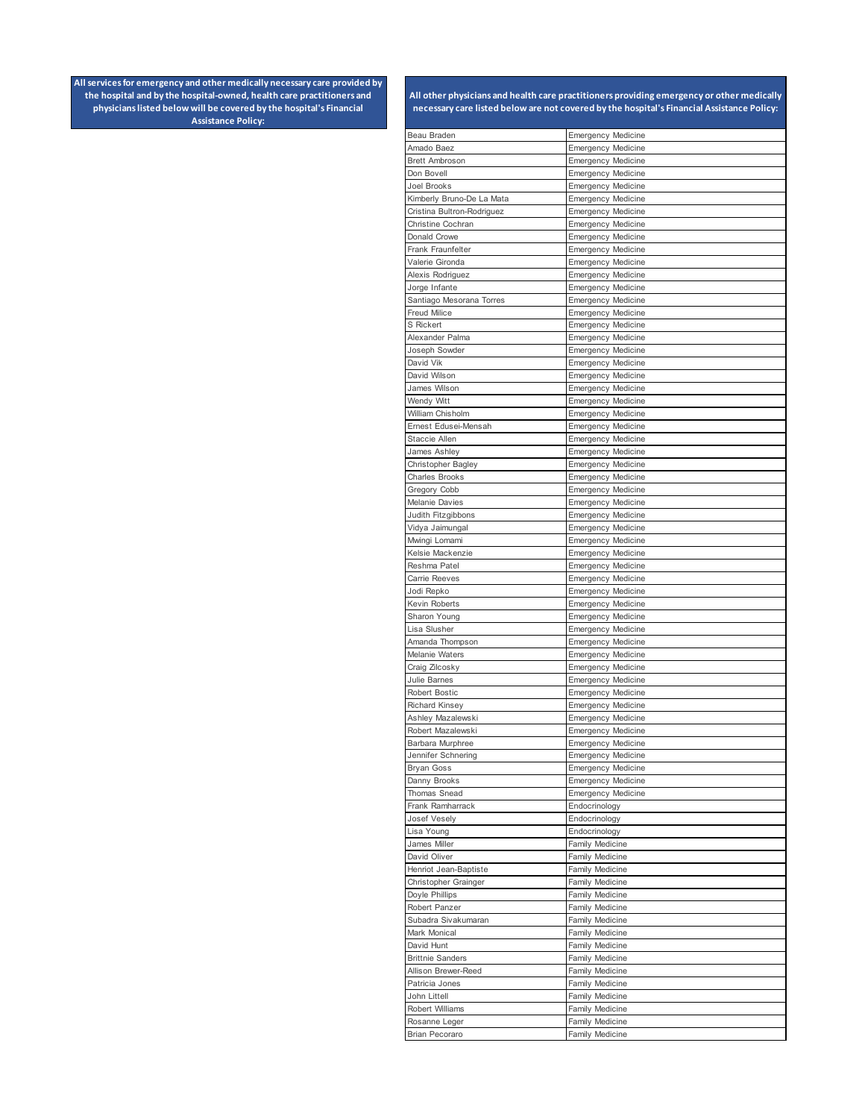| Beau Braden                                | <b>Emergency Medicine</b>                              |
|--------------------------------------------|--------------------------------------------------------|
| Amado Baez                                 | <b>Emergency Medicine</b>                              |
| <b>Brett Ambroson</b>                      | <b>Emergency Medicine</b>                              |
| Don Bovell                                 | <b>Emergency Medicine</b>                              |
| Joel Brooks                                | <b>Emergency Medicine</b>                              |
| Kimberly Bruno-De La Mata                  | <b>Emergency Medicine</b>                              |
| Cristina Bultron-Rodriguez                 | <b>Emergency Medicine</b>                              |
| Christine Cochran                          | <b>Emergency Medicine</b>                              |
| Donald Crowe                               | <b>Emergency Medicine</b>                              |
| Frank Fraunfelter<br>Valerie Gironda       | <b>Emergency Medicine</b><br><b>Emergency Medicine</b> |
| Alexis Rodriguez                           | <b>Emergency Medicine</b>                              |
| Jorge Infante                              | <b>Emergency Medicine</b>                              |
| Santiago Mesorana Torres                   | <b>Emergency Medicine</b>                              |
| Freud Milice                               | <b>Emergency Medicine</b>                              |
| S Rickert                                  | <b>Emergency Medicine</b>                              |
| Alexander Palma                            | <b>Emergency Medicine</b>                              |
| Joseph Sowder                              | <b>Emergency Medicine</b>                              |
| David Vik                                  | <b>Emergency Medicine</b>                              |
| David Wilson                               | <b>Emergency Medicine</b>                              |
| James Wilson                               | <b>Emergency Medicine</b>                              |
| Wendy Witt                                 | <b>Emergency Medicine</b>                              |
| William Chisholm                           | <b>Emergency Medicine</b>                              |
| Ernest Edusei-Mensah<br>Staccie Allen      | <b>Emergency Medicine</b>                              |
| James Ashley                               | <b>Emergency Medicine</b><br><b>Emergency Medicine</b> |
| Christopher Bagley                         | <b>Emergency Medicine</b>                              |
| Charles Brooks                             | <b>Emergency Medicine</b>                              |
| Gregory Cobb                               | <b>Emergency Medicine</b>                              |
| Melanie Davies                             | <b>Emergency Medicine</b>                              |
| Judith Fitzgibbons                         | <b>Emergency Medicine</b>                              |
| Vidya Jaimungal                            | <b>Emergency Medicine</b>                              |
| Mwingi Lomami                              | <b>Emergency Medicine</b>                              |
| Kelsie Mackenzie                           | <b>Emergency Medicine</b>                              |
| Reshma Patel                               | <b>Emergency Medicine</b>                              |
| Carrie Reeves<br>Jodi Repko                | <b>Emergency Medicine</b><br><b>Emergency Medicine</b> |
| Kevin Roberts                              | <b>Emergency Medicine</b>                              |
| Sharon Young                               | <b>Emergency Medicine</b>                              |
| Lisa Slusher                               | <b>Emergency Medicine</b>                              |
| Amanda Thompson                            | <b>Emergency Medicine</b>                              |
| Melanie Waters                             | <b>Emergency Medicine</b>                              |
| Craig Zilcosky                             | <b>Emergency Medicine</b>                              |
| Julie Barnes                               | <b>Emergency Medicine</b>                              |
| <b>Robert Bostic</b>                       | <b>Emergency Medicine</b>                              |
| <b>Richard Kinsey</b><br>Ashley Mazalewski | <b>Emergency Medicine</b><br><b>Emergency Medicine</b> |
| Robert Mazalewski                          | <b>Emergency Medicine</b>                              |
| Barbara Murphree                           | <b>Emergency Medicine</b>                              |
| Jennifer Schnering                         | <b>Emergency Medicine</b>                              |
| <b>Bryan Goss</b>                          | <b>Emergency Medicine</b>                              |
| Danny Brooks                               | <b>Emergency Medicine</b>                              |
| Thomas Snead                               | <b>Emergency Medicine</b>                              |
| Frank Ramharrack                           | Endocrinology                                          |
| Josef Vesely                               | Endocrinology                                          |
| Lisa Young<br>James Miller                 | Endocrinology<br>Family Medicine                       |
| David Oliver                               | Family Medicine                                        |
| Henriot Jean-Baptiste                      | Family Medicine                                        |
| Christopher Grainger                       | Family Medicine                                        |
| Doyle Phillips                             | Family Medicine                                        |
| Robert Panzer                              | Family Medicine                                        |
| Subadra Sivakumaran                        | Family Medicine                                        |
| Mark Monical                               | Family Medicine                                        |
| David Hunt                                 | Family Medicine                                        |
| <b>Brittnie Sanders</b>                    | Family Medicine                                        |
| Allison Brewer-Reed<br>Patricia Jones      | Family Medicine<br>Family Medicine                     |
| John Littell                               | Family Medicine                                        |
| Robert Williams                            | Family Medicine                                        |
| Rosanne Leger                              | Family Medicine                                        |
| <b>Brian Pecoraro</b>                      | Family Medicine                                        |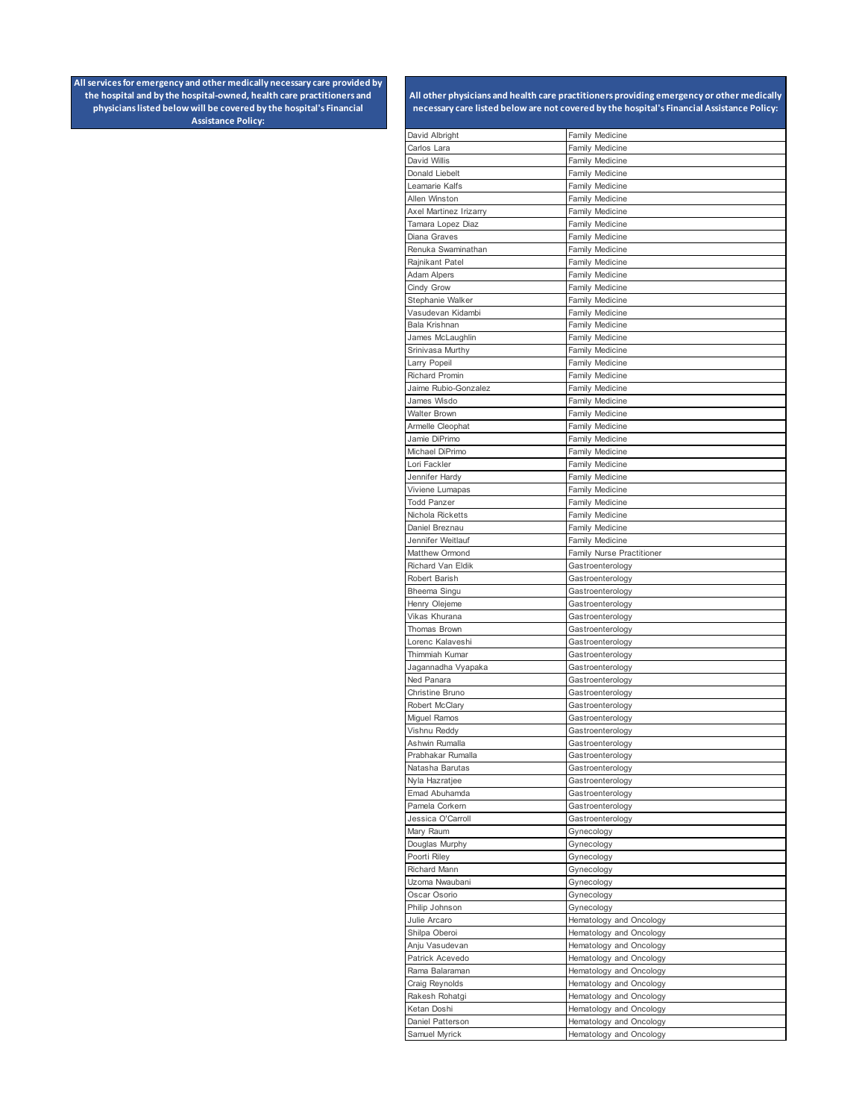| David Albright                     | <b>Family Medicine</b>                           |
|------------------------------------|--------------------------------------------------|
| Carlos Lara                        | <b>Family Medicine</b>                           |
| David Willis                       | <b>Family Medicine</b>                           |
| Donald Liebelt                     | <b>Family Medicine</b>                           |
| Leamarie Kalfs                     | <b>Family Medicine</b>                           |
| Allen Winston                      | <b>Family Medicine</b>                           |
| Axel Martinez Irizarry             | <b>Family Medicine</b>                           |
| Tamara Lopez Diaz                  | <b>Family Medicine</b>                           |
| Diana Graves                       | Family Medicine                                  |
| Renuka Swaminathan                 | <b>Family Medicine</b>                           |
| Rajnikant Patel<br>Adam Alpers     | <b>Family Medicine</b><br><b>Family Medicine</b> |
| Cindy Grow                         |                                                  |
| Stephanie Walker                   | <b>Family Medicine</b><br><b>Family Medicine</b> |
| Vasudevan Kidambi                  | <b>Family Medicine</b>                           |
| Bala Krishnan                      | <b>Family Medicine</b>                           |
| James McLaughlin                   | <b>Family Medicine</b>                           |
| Srinivasa Murthy                   | <b>Family Medicine</b>                           |
| Larry Popeil                       | <b>Family Medicine</b>                           |
| <b>Richard Promin</b>              | <b>Family Medicine</b>                           |
| Jaime Rubio-Gonzalez               | <b>Family Medicine</b>                           |
| James Wisdo                        | <b>Family Medicine</b>                           |
| <b>Walter Brown</b>                | <b>Family Medicine</b>                           |
| Armelle Cleophat                   | <b>Family Medicine</b>                           |
| Jamie DiPrimo                      | Family Medicine                                  |
| Michael DiPrimo                    | <b>Family Medicine</b>                           |
| Lori Fackler                       | Family Medicine                                  |
| Jennifer Hardy                     | <b>Family Medicine</b>                           |
| Viviene Lumapas                    | Family Medicine                                  |
| <b>Todd Panzer</b>                 | <b>Family Medicine</b>                           |
| Nichola Ricketts                   | <b>Family Medicine</b>                           |
| Daniel Breznau                     | Family Medicine                                  |
| Jennifer Weitlauf                  | <b>Family Medicine</b>                           |
| Matthew Ormond                     | Family Nurse Practitioner                        |
| Richard Van Eldik<br>Robert Barish | Gastroenterology                                 |
| Bheema Singu                       | Gastroenterology<br>Gastroenterology             |
| Henry Olejeme                      | Gastroenterology                                 |
| Vikas Khurana                      | Gastroenterology                                 |
| Thomas Brown                       | Gastroenterology                                 |
| Lorenc Kalaveshi                   | Gastroenterology                                 |
| Thimmiah Kumar                     | Gastroenterology                                 |
| Jagannadha Vyapaka                 | Gastroenterology                                 |
| Ned Panara                         | Gastroenterology                                 |
| Christine Bruno                    | Gastroenterology                                 |
| Robert McClary                     | Gastroenterology                                 |
| Miguel Ramos                       | Gastroenterology                                 |
| Vishnu Reddy                       | Gastroenterology                                 |
| Ashwin Rumalla                     | Gastroenterology                                 |
| Prabhakar Rumalla                  | Gastroenterology                                 |
| Natasha Barutas                    | Gastroenterology                                 |
| Nyla Hazratjee                     | Gastroenterology                                 |
| Emad Abuhamda                      | Gastroenterology                                 |
| Pamela Corkern                     | Gastroenterology                                 |
| Jessica O'Carroll                  | Gastroenterology                                 |
| Mary Raum<br>Douglas Murphy        | Gynecology<br>Gynecology                         |
| Poorti Riley                       | Gynecology                                       |
| Richard Mann                       | Gynecology                                       |
| Uzoma Nwaubani                     | Gynecology                                       |
| Oscar Osorio                       | Gynecology                                       |
| Philip Johnson                     | Gynecology                                       |
| Julie Arcaro                       | Hematology and Oncology                          |
| Shilpa Oberoi                      | Hematology and Oncology                          |
| Anju Vasudevan                     | Hematology and Oncology                          |
| Patrick Acevedo                    | Hematology and Oncology                          |
| Rama Balaraman                     | Hematology and Oncology                          |
| Craig Reynolds                     | Hematology and Oncology                          |
| Rakesh Rohatgi                     | Hematology and Oncology                          |
| Ketan Doshi                        | Hematology and Oncology                          |
| Daniel Patterson                   | Hematology and Oncology                          |
| Samuel Myrick                      | Hematology and Oncology                          |